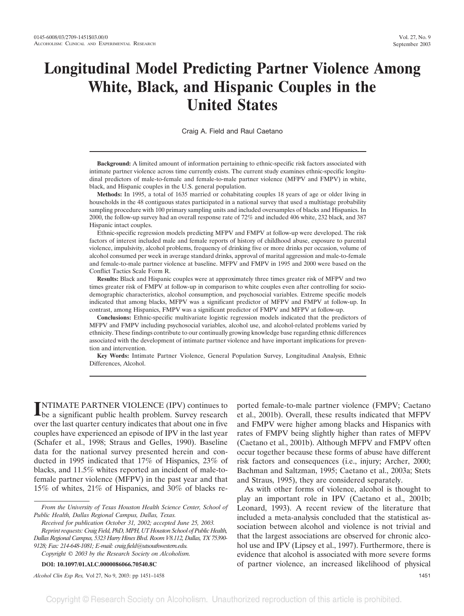# **Longitudinal Model Predicting Partner Violence Among White, Black, and Hispanic Couples in the United States**

Craig A. Field and Raul Caetano

**Background:** A limited amount of information pertaining to ethnic-specific risk factors associated with intimate partner violence across time currently exists. The current study examines ethnic-specific longitudinal predictors of male-to-female and female-to-male partner violence (MFPV and FMPV) in white, black, and Hispanic couples in the U.S. general population.

**Methods:** In 1995, a total of 1635 married or cohabitating couples 18 years of age or older living in households in the 48 contiguous states participated in a national survey that used a multistage probability sampling procedure with 100 primary sampling units and included oversamples of blacks and Hispanics. In 2000, the follow-up survey had an overall response rate of 72% and included 406 white, 232 black, and 387 Hispanic intact couples.

Ethnic-specific regression models predicting MFPV and FMPV at follow-up were developed. The risk factors of interest included male and female reports of history of childhood abuse, exposure to parental violence, impulsivity, alcohol problems, frequency of drinking five or more drinks per occasion, volume of alcohol consumed per week in average standard drinks, approval of marital aggression and male-to-female and female-to-male partner violence at baseline. MFPV and FMPV in 1995 and 2000 were based on the Conflict Tactics Scale Form R.

**Results:** Black and Hispanic couples were at approximately three times greater risk of MFPV and two times greater risk of FMPV at follow-up in comparison to white couples even after controlling for sociodemographic characteristics, alcohol consumption, and psychosocial variables. Extreme specific models indicated that among blacks, MFPV was a significant predictor of MFPV and FMPV at follow-up. In contrast, among Hispanics, FMPV was a significant predictor of FMPV and MFPV at follow-up.

**Conclusions:** Ethnic-specific multivariate logistic regression models indicated that the predictors of MFPV and FMPV including psychosocial variables, alcohol use, and alcohol-related problems varied by ethnicity. These findings contribute to our continually growing knowledge base regarding ethnic differences associated with the development of intimate partner violence and have important implications for prevention and intervention.

**Key Words:** Intimate Partner Violence, General Population Survey, Longitudinal Analysis, Ethnic Differences, Alcohol.

**I**NTIMATE PARTNER VIOLENCE (IPV) continues to be a significant public health problem. Survey research over the last quarter century indicates that about one in five couples have experienced an episode of IPV in the last year (Schafer et al., 1998; Straus and Gelles, 1990). Baseline data for the national survey presented herein and conducted in 1995 indicated that 17% of Hispanics, 23% of blacks, and 11.5% whites reported an incident of male-tofemale partner violence (MFPV) in the past year and that 15% of whites, 21% of Hispanics, and 30% of blacks re-

*Copyright © 2003 by the Research Society on Alcoholism.*

**DOI: 10.1097/01.ALC.0000086066.70540.8C**

*Alcohol Clin Exp Res,* Vol 27, No 9, 2003: pp 1451–1458 1451

ported female-to-male partner violence (FMPV; Caetano et al., 2001b). Overall, these results indicated that MFPV and FMPV were higher among blacks and Hispanics with rates of FMPV being slightly higher than rates of MFPV (Caetano et al., 2001b). Although MFPV and FMPV often occur together because these forms of abuse have different risk factors and consequences (i.e., injury; Archer, 2000; Bachman and Saltzman, 1995; Caetano et al., 2003a; Stets and Straus, 1995), they are considered separately.

As with other forms of violence, alcohol is thought to play an important role in IPV (Caetano et al., 2001b; Leonard, 1993). A recent review of the literature that included a meta-analysis concluded that the statistical association between alcohol and violence is not trivial and that the largest associations are observed for chronic alcohol use and IPV (Lipsey et al., 1997). Furthermore, there is evidence that alcohol is associated with more severe forms of partner violence, an increased likelihood of physical

*From the University of Texas Houston Health Science Center, School of Public Health, Dallas Regional Campus, Dallas, Texas.*

*Received for publication October 31, 2002; accepted June 25, 2003. Reprint requests: Craig Field, PhD, MPH, UT Houston School of Public Health, Dallas Regional Campus, 5323 Harry Hines Blvd. Room V8.112, Dallas, TX 75390- 9128; Fax: 214-648-1081; E-mail: craig.field@utsouthwestern.edu.*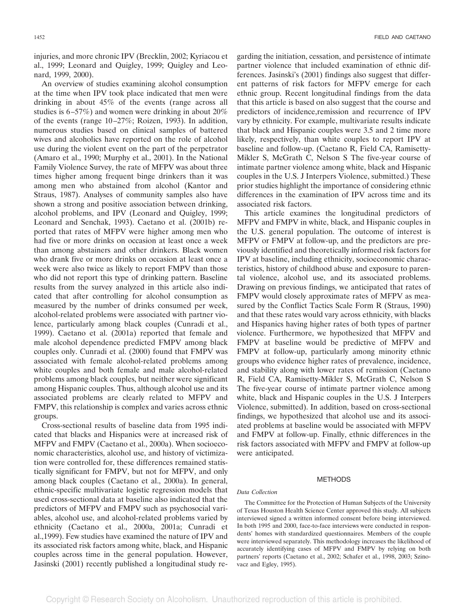injuries, and more chronic IPV (Brecklin, 2002; Kyriacou et al., 1999; Leonard and Quigley, 1999; Quigley and Leonard, 1999, 2000).

An overview of studies examining alcohol consumption at the time when IPV took place indicated that men were drinking in about 45% of the events (range across all studies is 6–57%) and women were drinking in about 20% of the events (range 10–27%; Roizen, 1993). In addition, numerous studies based on clinical samples of battered wives and alcoholics have reported on the role of alcohol use during the violent event on the part of the perpetrator (Amaro et al., 1990; Murphy et al., 2001). In the National Family Violence Survey, the rate of MFPV was about three times higher among frequent binge drinkers than it was among men who abstained from alcohol (Kantor and Straus, 1987). Analyses of community samples also have shown a strong and positive association between drinking, alcohol problems, and IPV (Leonard and Quigley, 1999; Leonard and Senchak, 1993). Caetano et al. (2001b) reported that rates of MFPV were higher among men who had five or more drinks on occasion at least once a week than among abstainers and other drinkers. Black women who drank five or more drinks on occasion at least once a week were also twice as likely to report FMPV than those who did not report this type of drinking pattern. Baseline results from the survey analyzed in this article also indicated that after controlling for alcohol consumption as measured by the number of drinks consumed per week, alcohol-related problems were associated with partner violence, particularly among black couples (Cunradi et al., 1999). Caetano et al. (2001a) reported that female and male alcohol dependence predicted FMPV among black couples only. Cunradi et al. (2000) found that FMPV was associated with female alcohol-related problems among white couples and both female and male alcohol-related problems among black couples, but neither were significant among Hispanic couples. Thus, although alcohol use and its associated problems are clearly related to MFPV and FMPV, this relationship is complex and varies across ethnic groups.

Cross-sectional results of baseline data from 1995 indicated that blacks and Hispanics were at increased risk of MFPV and FMPV (Caetano et al., 2000a). When socioeconomic characteristics, alcohol use, and history of victimization were controlled for, these differences remained statistically significant for FMPV, but not for MFPV, and only among black couples (Caetano et al., 2000a). In general, ethnic-specific multivariate logistic regression models that used cross-sectional data at baseline also indicated that the predictors of MFPV and FMPV such as psychosocial variables, alcohol use, and alcohol-related problems varied by ethnicity (Caetano et al., 2000a, 2001a; Cunradi et al.,1999). Few studies have examined the nature of IPV and its associated risk factors among white, black, and Hispanic couples across time in the general population. However, Jasinski (2001) recently published a longitudinal study regarding the initiation, cessation, and persistence of intimate partner violence that included examination of ethnic differences. Jasinski's (2001) findings also suggest that different patterns of risk factors for MFPV emerge for each ethnic group. Recent longitudinal findings from the data that this article is based on also suggest that the course and predictors of incidence,remission and recurrence of IPV vary by ethnicity. For example, multivariate results indicate that black and Hispanic couples were 3.5 and 2 time more likely, respectively, than white couples to report IPV at baseline and follow-up. (Caetano R, Field CA, Ramisetty-Mikler S, McGrath C, Nelson S The five-year course of intimate partner violence among white, black and Hispanic couples in the U.S. J Interpers Violence, submitted.) These prior studies highlight the importance of considering ethnic differences in the examination of IPV across time and its associated risk factors.

This article examines the longitudinal predictors of MFPV and FMPV in white, black, and Hispanic couples in the U.S. general population. The outcome of interest is MFPV or FMPV at follow-up, and the predictors are previously identified and theoretically informed risk factors for IPV at baseline, including ethnicity, socioeconomic characteristics, history of childhood abuse and exposure to parental violence, alcohol use, and its associated problems. Drawing on previous findings, we anticipated that rates of FMPV would closely approximate rates of MFPV as measured by the Conflict Tactics Scale Form R (Straus, 1990) and that these rates would vary across ethnicity, with blacks and Hispanics having higher rates of both types of partner violence. Furthermore, we hypothesized that MFPV and FMPV at baseline would be predictive of MFPV and FMPV at follow-up, particularly among minority ethnic groups who evidence higher rates of prevalence, incidence, and stability along with lower rates of remission (Caetano R, Field CA, Ramisetty-Mikler S, McGrath C, Nelson S The five-year course of intimate partner violence among white, black and Hispanic couples in the U.S. J Interpers Violence, submitted). In addition, based on cross-sectional findings, we hypothesized that alcohol use and its associated problems at baseline would be associated with MFPV and FMPV at follow-up. Finally, ethnic differences in the risk factors associated with MFPV and FMPV at follow-up were anticipated.

## METHODS

## *Data Collection*

The Committee for the Protection of Human Subjects of the University of Texas Houston Health Science Center approved this study. All subjects interviewed signed a written informed consent before being interviewed. In both 1995 and 2000, face-to-face interviews were conducted in respondents' homes with standardized questionnaires. Members of the couple were interviewed separately. This methodology increases the likelihood of accurately identifying cases of MFPV and FMPV by relying on both partners' reports (Caetano et al., 2002; Schafer et al., 1998, 2003; Szinovacz and Egley, 1995).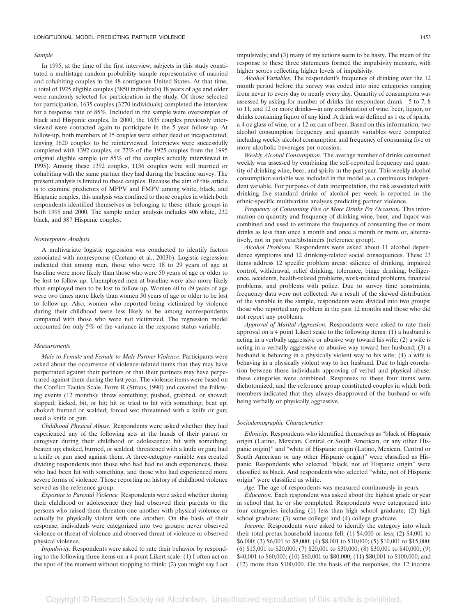#### *Sample*

In 1995, at the time of the first interview, subjects in this study constituted a multistage random probability sample representative of married and cohabiting couples in the 48 contiguous United States. At that time, a total of 1925 eligible couples (3850 individuals) 18 years of age and older were randomly selected for participation in the study. Of those selected for participation, 1635 couples (3270 individuals) completed the interview for a response rate of 85%. Included in the sample were oversamples of black and Hispanic couples. In 2000, the 1635 couples previously interviewed were contacted again to participate in the 5 year follow-up. At follow-up, both members of 15 couples were either dead or incapacitated, leaving 1620 couples to be reinterviewed. Interviews were successfully completed with 1392 couples, or 72% of the 1925 couples from the 1995 original eligible sample (or 85% of the couples actually interviewed in 1995). Among these 1392 couples, 1136 couples were still married or cohabiting with the same partner they had during the baseline survey. The present analysis is limited to these couples. Because the aim of this article is to examine predictors of MFPV and FMPV among white, black, and Hispanic couples, this analysis was confined to those couples in which both respondents identified themselves as belonging to these ethnic groups in both 1995 and 2000. The sample under analysis includes 406 white, 232 black, and 387 Hispanic couples.

#### *Nonresponse Analysis*

A multivariate logistic regression was conducted to identify factors associated with nonresponse (Caetano et al., 2003b). Logistic regression indicated that among men, those who were 18 to 29 years of age at baseline were more likely than those who were 50 years of age or older to be lost to follow-up. Unemployed men at baseline were also more likely than employed men to be lost to follow up. Women 40 to 49 years of age were two times more likely than women 50 years of age or older to be lost to follow-up. Also, women who reported being victimized by violence during their childhood were less likely to be among nonrespondents compared with those who were not victimized. The regression model accounted for only 5% of the variance in the response status variable.

#### *Measurements*

*Male-to-Female and Female-to-Male Partner Violence.* Participants were asked about the occurrence of violence-related items that they may have perpetrated against their partners or that their partners may have perpetrated against them during the last year. The violence items were based on the Conflict Tactics Scale, Form R (Straus, 1990) and covered the following events (12 months): threw something; pushed, grabbed, or shoved; slapped; kicked, bit, or hit; hit or tried to hit with something; beat up; choked; burned or scalded; forced sex; threatened with a knife or gun; used a knife or gun.

*Childhood Physical Abuse.* Respondents were asked whether they had experienced any of the following acts at the hands of their parent or caregiver during their childhood or adolescence: hit with something; beaten up; choked, burned, or scalded; threatened with a knife or gun; had a knife or gun used against them. A three-category variable was created dividing respondents into those who had had no such experiences, those who had been hit with something, and those who had experienced more severe forms of violence. Those reporting no history of childhood violence served as the reference group.

*Exposure to Parental Violence.* Respondents were asked whether during their childhood or adolescence they had observed their parents or the persons who raised them threaten one another with physical violence or actually be physically violent with one another. On the basis of their response, individuals were categorized into two groups: never observed violence or threat of violence and observed threat of violence or observed physical violence.

*Impulsivity.* Respondents were asked to rate their behavior by responding to the following three items on a 4 point Likert scale: (1) I often act on the spur of the moment without stopping to think; (2) you might say I act

*Alcohol Variables.* The respondent's frequency of drinking over the 12 month period before the survey was coded into nine categories ranging from never to every day or nearly every day. Quantity of consumption was assessed by asking for number of drinks the respondent drank—5 to 7, 8 to 11, and 12 or more drinks—in any combination of wine, beer, liquor, or drinks containing liquor of any kind. A drink was defined as 1 oz of spirits, a 4 oz glass of wine, or a 12 oz can of beer. Based on this information, two alcohol consumption frequency and quantity variables were computed including weekly alcohol consumption and frequency of consuming five or more alcoholic beverages per occasion.

*Weekly Alcohol Consumption.* The average number of drinks consumed weekly was assessed by combining the self-reported frequency and quantity of drinking wine, beer, and spirits in the past year. This weekly alcohol consumption variable was included in the model as a continuous independent variable. For purposes of data interpretation, the risk associated with drinking five standard drinks of alcohol per week is reported in the ethnic-specific multivariate analyses predicting partner violence.

*Frequency of Consuming Five or More Drinks Per Occasion.* This information on quantity and frequency of drinking wine, beer, and liquor was combined and used to estimate the frequency of consuming five or more drinks as less than once a month and once a month or more or, alternatively, not in past year/abstainers (reference group).

*Alcohol Problems.* Respondents were asked about 11 alcohol dependence symptoms and 12 drinking-related social consequences. These 23 items address 12 specific problem areas: salience of drinking, impaired control, withdrawal, relief drinking, tolerance, binge drinking, belligerence, accidents, health-related problems, work-related problems, financial problems, and problems with police. Due to survey time constraints, frequency data were not collected. As a result of the skewed distribution of the variable in the sample, respondents were divided into two groups: those who reported any problem in the past 12 months and those who did not report any problems.

*Approval of Marital Aggression.* Respondents were asked to rate their approval on a 4 point Likert scale to the following items: (1) a husband is acting in a verbally aggressive or abusive way toward his wife; (2) a wife is acting in a verbally aggressive or abusive way toward her husband; (3) a husband is behaving in a physically violent way to his wife; (4) a wife is behaving in a physically violent way to her husband. Due to high correlation between those individuals approving of verbal and physical abuse, these categories were combined. Responses to these four items were dichotomized, and the reference group constituted couples in which both members indicated that they always disapproved of the husband or wife being verbally or physically aggressive.

#### *Sociodemographic Characteristics*

*Ethnicity.* Respondents who identified themselves as "black of Hispanic origin (Latino, Mexican, Central or South American, or any other Hispanic origin)" and "white of Hispanic origin (Latino, Mexican, Central or South American or any other Hispanic origin)" were classified as Hispanic. Respondents who selected "black, not of Hispanic origin" were classified as black. And respondents who selected "white, not of Hispanic origin" were classified as white.

*Age.* The age of respondents was measured continuously in years.

*Education.* Each respondent was asked about the highest grade or year in school that he or she completed. Respondents were categorized into four categories including (1) less than high school graduate; (2) high school graduate; (3) some college; and (4) college graduate.

*Income.* Respondents were asked to identify the category into which their total pretax household income fell: (1) \$4,000 or less; (2) \$4,001 to \$6,000; (3) \$6,001 to \$8,000; (4) \$8,001 to \$10,000; (5) \$10,001 to \$15,000; (6) \$15,001 to \$20,000; (7) \$20,001 to \$30,000; (8) \$30,001 to \$40,000; (9) \$40,001 to \$60,000; (10) \$60,001 to \$80,000; (11) \$80,001 to \$100,000; and (12) more than \$100,000. On the basis of the responses, the 12 income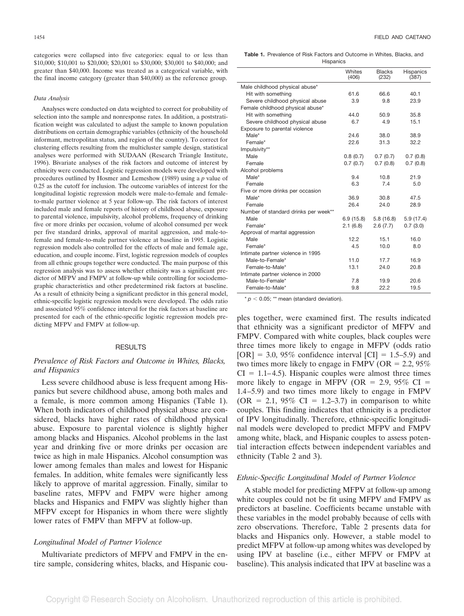categories were collapsed into five categories: equal to or less than \$10,000; \$10,001 to \$20,000; \$20,001 to \$30,000; \$30,001 to \$40,000; and greater than \$40,000. Income was treated as a categorical variable, with the final income category (greater than \$40,000) as the reference group.

#### *Data Analysis*

Analyses were conducted on data weighted to correct for probability of selection into the sample and nonresponse rates. In addition, a poststratification weight was calculated to adjust the sample to known population distributions on certain demographic variables (ethnicity of the household informant, metropolitan status, and region of the country). To correct for clustering effects resulting from the multicluster sample design, statistical analyses were performed with SUDAAN (Research Triangle Institute, 1996). Bivariate analyses of the risk factors and outcome of interest by ethnicity were conducted. Logistic regression models were developed with procedures outlined by Hosmer and Lemeshow (1989) using a *p* value of 0.25 as the cutoff for inclusion. The outcome variables of interest for the longitudinal logistic regression models were male-to-female and femaleto-male partner violence at 5 year follow-up. The risk factors of interest included male and female reports of history of childhood abuse, exposure to parental violence, impulsivity, alcohol problems, frequency of drinking five or more drinks per occasion, volume of alcohol consumed per week per five standard drinks, approval of marital aggression, and male-tofemale and female-to-male partner violence at baseline in 1995. Logistic regression models also controlled for the effects of male and female age, education, and couple income. First, logistic regression models of couples from all ethnic groups together were conducted. The main purpose of this regression analysis was to assess whether ethnicity was a significant predictor of MFPV and FMPV at follow-up while controlling for sociodemographic characteristics and other predetermined risk factors at baseline. As a result of ethnicity being a significant predictor in this general model, ethnic-specific logistic regression models were developed. The odds ratio and associated 95% confidence interval for the risk factors at baseline are presented for each of the ethnic-specific logistic regression models predicting MFPV and FMPV at follow-up.

# **RESULTS**

# *Prevalence of Risk Factors and Outcome in Whites, Blacks, and Hispanics*

Less severe childhood abuse is less frequent among Hispanics but severe childhood abuse, among both males and a female, is more common among Hispanics (Table 1). When both indicators of childhood physical abuse are considered, blacks have higher rates of childhood physical abuse. Exposure to parental violence is slightly higher among blacks and Hispanics. Alcohol problems in the last year and drinking five or more drinks per occasion are twice as high in male Hispanics. Alcohol consumption was lower among females than males and lowest for Hispanic females. In addition, white females were significantly less likely to approve of marital aggression. Finally, similar to baseline rates, MFPV and FMPV were higher among blacks and Hispanics and FMPV was slightly higher than MFPV except for Hispanics in whom there were slightly lower rates of FMPV than MFPV at follow-up.

# *Longitudinal Model of Partner Violence*

Multivariate predictors of MFPV and FMPV in the entire sample, considering whites, blacks, and Hispanic cou**Table 1.** Prevalence of Risk Factors and Outcome in Whites, Blacks, and **Hispanics** 

|                                      | Whites<br>(406) | <b>Blacks</b><br>(232) | <b>Hispanics</b><br>(387) |
|--------------------------------------|-----------------|------------------------|---------------------------|
| Male childhood physical abuse*       |                 |                        |                           |
| Hit with something                   | 61.6            | 66.6                   | 40.1                      |
| Severe childhood physical abuse      | 3.9             | 9.8                    | 23.9                      |
| Female childhood physical abuse*     |                 |                        |                           |
| Hit with something                   | 44.0            | 50.9                   | 35.8                      |
| Severe childhood physical abuse      | 6.7             | 4.9                    | 15.1                      |
| Exposure to parental violence        |                 |                        |                           |
| Male*                                | 24.6            | 38.0                   | 38.9                      |
| Female*                              | 22.6            | 31.3                   | 32.2                      |
| Impulsivity**                        |                 |                        |                           |
| Male                                 | 0.8(0.7)        | 0.7(0.7)               | 0.7(0.8)                  |
| Female                               | 0.7(0.7)        | 0.7(0.8)               | 0.7(0.8)                  |
| Alcohol problems                     |                 |                        |                           |
| Male*                                | 9.4             | 10.8                   | 21.9                      |
| Female                               | 6.3             | 7.4                    | 5.0                       |
| Five or more drinks per occasion     |                 |                        |                           |
| Male*                                | 36.9            | 30.8                   | 47.5                      |
| Female                               | 26.4            | 24.0                   | 28.9                      |
| Number of standard drinks per week** |                 |                        |                           |
| Male                                 | 6.9(15.8)       | 5.8(16.8)              | 5.9 (17.4)                |
| Female*                              | 2.1(6.8)        | 2.6(7.7)               | 0.7(3.0)                  |
| Approval of marital aggression       |                 |                        |                           |
| Male                                 | 12.2            | 15.1                   | 16.0                      |
| Female*                              | 4.5             | 10.0                   | 8.0                       |
| Intimate partner violence in 1995    |                 |                        |                           |
| Male-to-Female*                      | 11.0            | 17.7                   | 16.9                      |
| Female-to-Male*                      | 13.1            | 24.0                   | 20.8                      |
| Intimate partner violence in 2000    |                 |                        |                           |
| Male-to-Female*                      | 7.8             | 19.9                   | 20.6                      |
| Female-to-Male*                      | 9.8             | 22.2                   | 19.5                      |

 $* p < 0.05$ ;  $**$  mean (standard deviation).

ples together, were examined first. The results indicated that ethnicity was a significant predictor of MFPV and FMPV. Compared with white couples, black couples were three times more likely to engage in MFPV (odds ratio  $[OR] = 3.0, 95\%$  confidence interval  $[CI] = 1.5-5.9$  and two times more likely to engage in FMPV (OR  $= 2.2, 95\%$ )  $CI = 1.1-4.5$ . Hispanic couples were almost three times more likely to engage in MFPV (OR  $= 2.9, 95\%$  CI  $=$ 1.4–5.9) and two times more likely to engage in FMPV (OR = 2.1, 95% CI = 1.2–3.7) in comparison to white couples. This finding indicates that ethnicity is a predictor of IPV longitudinally. Therefore, ethnic-specific longitudinal models were developed to predict MFPV and FMPV among white, black, and Hispanic couples to assess potential interaction effects between independent variables and ethnicity (Table 2 and 3).

## *Ethnic-Specific Longitudinal Model of Partner Violence*

A stable model for predicting MFPV at follow-up among white couples could not be fit using MFPV and FMPV as predictors at baseline. Coefficients became unstable with these variables in the model probably because of cells with zero observations. Therefore, Table 2 presents data for blacks and Hispanics only. However, a stable model to predict MFPV at follow-up among whites was developed by using IPV at baseline (i.e., either MFPV or FMPV at baseline). This analysis indicated that IPV at baseline was a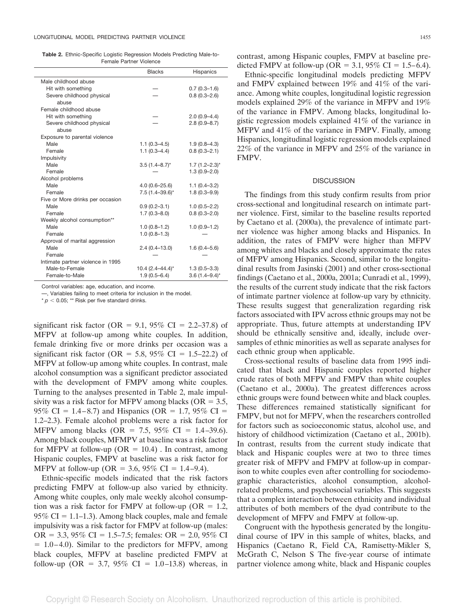| <b>Table 2. Ethnic-Specific Logistic Regression Models Predicting Male-to-</b> |  |
|--------------------------------------------------------------------------------|--|
| Female Partner Violence                                                        |  |

|                                   | <b>Blacks</b>          | Hispanics            |
|-----------------------------------|------------------------|----------------------|
| Male childhood abuse              |                        |                      |
| Hit with something                |                        | $0.7(0.3 - 1.6)$     |
| Severe childhood physical         |                        | $0.8(0.3 - 2.6)$     |
| abuse                             |                        |                      |
| Female childhood abuse            |                        |                      |
| Hit with something                |                        | $2.0(0.9 - 4.4)$     |
| Severe childhood physical         |                        | $2.8(0.9 - 8.7)$     |
| abuse                             |                        |                      |
| Exposure to parental violence     |                        |                      |
| Male                              | $1.1(0.3 - 4.5)$       | $1.9(0.8 - 4.3)$     |
| Female                            | $1.1(0.3-4.4)$         | $0.8(0.3 - 2.1)$     |
| Impulsivity                       |                        |                      |
| Male                              | $3.5(1.4 - 8.7)^*$     | $1.7(1.2 - 2.3)^{*}$ |
| Female                            |                        | $1.3(0.9 - 2.0)$     |
| Alcohol problems                  |                        |                      |
| Male                              | $4.0(0.6 - 25.6)$      | $1.1(0.4 - 3.2)$     |
| Female                            | $7.5(1.4-39.6)^{*}$    | $1.8(0.3 - 9.9)$     |
| Five or More drinks per occasion  |                        |                      |
| Male                              | $0.9(0.2 - 3.1)$       | $1.0(0.5 - 2.2)$     |
| Female                            | $1.7(0.3 - 8.0)$       | $0.8(0.3 - 2.0)$     |
| Weekly alcohol consumption**      |                        |                      |
| Male                              | $1.0(0.8-1.2)$         | $1.0(0.9-1.2)$       |
| Female                            | $1.0(0.8-1.3)$         |                      |
| Approval of marital aggression    |                        |                      |
| Male                              | $2.4(0.4 - 13.0)$      | $1.6(0.4 - 5.6)$     |
| Female                            |                        |                      |
| Intimate partner violence in 1995 |                        |                      |
| Male-to-Female                    | $10.4(2.4 - 44.4)^{*}$ | $1.3(0.5 - 3.3)$     |
| Female-to-Male                    | $1.9(0.5 - 6.4)$       | $3.6(1.4 - 9.4)^{*}$ |

Control variables: age, education, and income.

—, Variables failing to meet criteria for inclusion in the model.

 $* p < 0.05; **$  Risk per five standard drinks.

significant risk factor (OR = 9.1, 95% CI = 2.2–37.8) of MFPV at follow-up among white couples. In addition, female drinking five or more drinks per occasion was a significant risk factor (OR = 5.8, 95% CI = 1.5–22.2) of MFPV at follow-up among white couples. In contrast, male alcohol consumption was a significant predictor associated with the development of FMPV among white couples. Turning to the analyses presented in Table 2, male impulsivity was a risk factor for MFPV among blacks ( $OR = 3.5$ , 95% CI = 1.4–8.7) and Hispanics (OR = 1.7, 95% CI = 1.2–2.3). Female alcohol problems were a risk factor for MFPV among blacks (OR = 7.5, 95% CI = 1.4–39.6). Among black couples, MFMPV at baseline was a risk factor for MFPV at follow-up ( $OR = 10.4$ ). In contrast, among Hispanic couples, FMPV at baseline was a risk factor for MFPV at follow-up (OR = 3.6, 95% CI = 1.4–9.4).

Ethnic-specific models indicated that the risk factors predicting FMPV at follow-up also varied by ethnicity. Among white couples, only male weekly alcohol consumption was a risk factor for FMPV at follow-up ( $OR = 1.2$ ,  $95\%$  CI = 1.1–1.3). Among black couples, male and female impulsivity was a risk factor for FMPV at follow-up (males: OR = 3.3, 95% CI = 1.5–7.5; females: OR = 2.0, 95% CI  $= 1.0-4.0$ ). Similar to the predictors for MFPV, among black couples, MFPV at baseline predicted FMPV at follow-up (OR = 3.7, 95% CI = 1.0–13.8) whereas, in

contrast, among Hispanic couples, FMPV at baseline predicted FMPV at follow-up (OR = 3.1, 95% CI = 1.5–6.4).

Ethnic-specific longitudinal models predicting MFPV and FMPV explained between 19% and 41% of the variance. Among white couples, longitudinal logistic regression models explained 29% of the variance in MFPV and 19% of the variance in FMPV. Among blacks, longitudinal logistic regression models explained 41% of the variance in MFPV and 41% of the variance in FMPV. Finally, among Hispanics, longitudinal logistic regression models explained 22% of the variance in MFPV and 25% of the variance in FMPV.

#### **DISCUSSION**

The findings from this study confirm results from prior cross-sectional and longitudinal research on intimate partner violence. First, similar to the baseline results reported by Caetano et al. (2000a), the prevalence of intimate partner violence was higher among blacks and Hispanics. In addition, the rates of FMPV were higher than MFPV among whites and blacks and closely approximate the rates of MFPV among Hispanics. Second, similar to the longitudinal results from Jasinski (2001) and other cross-sectional findings (Caetano et al., 2000a, 2001a; Cunradi et al., 1999), the results of the current study indicate that the risk factors of intimate partner violence at follow-up vary by ethnicity. These results suggest that generalization regarding risk factors associated with IPV across ethnic groups may not be appropriate. Thus, future attempts at understanding IPV should be ethnically sensitive and, ideally, include oversamples of ethnic minorities as well as separate analyses for each ethnic group when applicable.

Cross-sectional results of baseline data from 1995 indicated that black and Hispanic couples reported higher crude rates of both MFPV and FMPV than white couples (Caetano et al., 2000a). The greatest differences across ethnic groups were found between white and black couples. These differences remained statistically significant for FMPV, but not for MFPV, when the researchers controlled for factors such as socioeconomic status, alcohol use, and history of childhood victimization (Caetano et al., 2001b). In contrast, results from the current study indicate that black and Hispanic couples were at two to three times greater risk of MFPV and FMPV at follow-up in comparison to white couples even after controlling for sociodemographic characteristics, alcohol consumption, alcoholrelated problems, and psychosocial variables. This suggests that a complex interaction between ethnicity and individual attributes of both members of the dyad contribute to the development of MFPV and FMPV at follow-up.

Congruent with the hypothesis generated by the longitudinal course of IPV in this sample of whites, blacks, and Hispanics (Caetano R, Field CA, Ramisetty-Mikler S, McGrath C, Nelson S The five-year course of intimate partner violence among white, black and Hispanic couples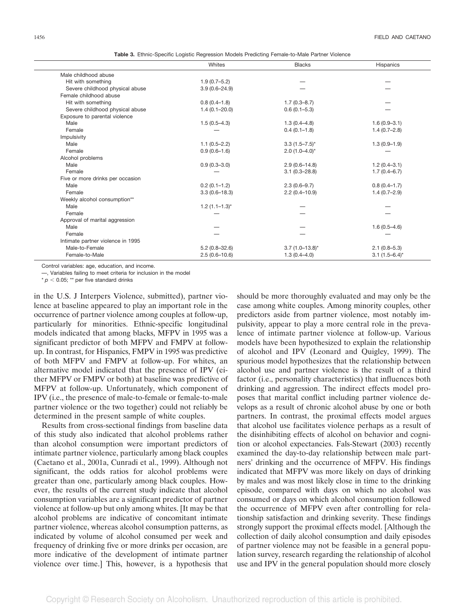| <b>Table 3.</b> Ethnic-Specific Logistic Regression Models Predicting Female-to-Male Partner Violence |  |
|-------------------------------------------------------------------------------------------------------|--|
|-------------------------------------------------------------------------------------------------------|--|

|                                   | Whites               | <b>Blacks</b>               | Hispanics          |
|-----------------------------------|----------------------|-----------------------------|--------------------|
| Male childhood abuse              |                      |                             |                    |
| Hit with something                | $1.9(0.7-5.2)$       |                             |                    |
| Severe childhood physical abuse   | $3.9(0.6 - 24.9)$    |                             |                    |
| Female childhood abuse            |                      |                             |                    |
| Hit with something                | $0.8(0.4-1.8)$       | $1.7(0.3 - 8.7)$            |                    |
| Severe childhood physical abuse   | $1.4(0.1 - 20.0)$    | $0.6(0.1 - 5.3)$            |                    |
| Exposure to parental violence     |                      |                             |                    |
| Male                              | $1.5(0.5-4.3)$       | $1.3(0.4 - 4.8)$            | $1.6(0.9 - 3.1)$   |
| Female                            |                      | $0.4(0.1 - 1.8)$            | $1.4(0.7-2.8)$     |
| Impulsivity                       |                      |                             |                    |
| Male                              | $1.1(0.5-2.2)$       | $3.3(1.5 - 7.5)^*$          | $1.3(0.9-1.9)$     |
| Female                            | $0.9(0.6-1.6)$       | $2.0(1.0-4.0)$ <sup>*</sup> |                    |
| Alcohol problems                  |                      |                             |                    |
| Male                              | $0.9(0.3 - 3.0)$     | $2.9(0.6 - 14.8)$           | $1.2(0.4 - 3.1)$   |
| Female                            |                      | $3.1(0.3 - 28.8)$           | $1.7(0.4 - 6.7)$   |
| Five or more drinks per occasion  |                      |                             |                    |
| Male                              | $0.2(0.1 - 1.2)$     | $2.3(0.6-9.7)$              | $0.8(0.4-1.7)$     |
| Female                            | $3.3(0.6 - 18.3)$    | $2.2(0.4 - 10.9)$           | $1.4(0.7-2.9)$     |
| Weekly alcohol consumption**      |                      |                             |                    |
| Male                              | $1.2(1.1 - 1.3)^{*}$ |                             |                    |
| Female                            |                      |                             |                    |
| Approval of marital aggression    |                      |                             |                    |
| Male                              |                      |                             | $1.6(0.5-4.6)$     |
| Female                            |                      |                             |                    |
| Intimate partner violence in 1995 |                      |                             |                    |
| Male-to-Female                    | $5.2(0.8 - 32.6)$    | $3.7(1.0-13.8)^{*}$         | $2.1(0.8 - 5.3)$   |
| Female-to-Male                    | $2.5(0.6 - 10.6)$    | $1.3(0.4 - 4.0)$            | $3.1(1.5-6.4)^{*}$ |

Control variables: age, education, and income.

—, Variables failing to meet criteria for inclusion in the model

 $^{\star}$   $p$   $<$  0.05;  $^{\star\star}$  per five standard drinks

in the U.S. J Interpers Violence, submitted), partner violence at baseline appeared to play an important role in the occurrence of partner violence among couples at follow-up, particularly for minorities. Ethnic-specific longitudinal models indicated that among blacks, MFPV in 1995 was a significant predictor of both MFPV and FMPV at followup. In contrast, for Hispanics, FMPV in 1995 was predictive of both MFPV and FMPV at follow-up. For whites, an alternative model indicated that the presence of IPV (either MFPV or FMPV or both) at baseline was predictive of MFPV at follow-up. Unfortunately, which component of IPV (i.e., the presence of male-to-female or female-to-male partner violence or the two together) could not reliably be determined in the present sample of white couples.

Results from cross-sectional findings from baseline data of this study also indicated that alcohol problems rather than alcohol consumption were important predictors of intimate partner violence, particularly among black couples (Caetano et al., 2001a, Cunradi et al., 1999). Although not significant, the odds ratios for alcohol problems were greater than one, particularly among black couples. However, the results of the current study indicate that alcohol consumption variables are a significant predictor of partner violence at follow-up but only among whites. [It may be that alcohol problems are indicative of concomitant intimate partner violence, whereas alcohol consumption patterns, as indicated by volume of alcohol consumed per week and frequency of drinking five or more drinks per occasion, are more indicative of the development of intimate partner violence over time.] This, however, is a hypothesis that

should be more thoroughly evaluated and may only be the case among white couples. Among minority couples, other predictors aside from partner violence, most notably impulsivity, appear to play a more central role in the prevalence of intimate partner violence at follow-up. Various models have been hypothesized to explain the relationship of alcohol and IPV (Leonard and Quigley, 1999). The spurious model hypothesizes that the relationship between alcohol use and partner violence is the result of a third factor (i.e., personality characteristics) that influences both drinking and aggression. The indirect effects model proposes that marital conflict including partner violence develops as a result of chronic alcohol abuse by one or both partners. In contrast, the proximal effects model argues that alcohol use facilitates violence perhaps as a result of the disinhibiting effects of alcohol on behavior and cognition or alcohol expectancies. Fals-Stewart (2003) recently examined the day-to-day relationship between male partners' drinking and the occurrence of MFPV. His findings indicated that MFPV was more likely on days of drinking by males and was most likely close in time to the drinking episode, compared with days on which no alcohol was consumed or days on which alcohol consumption followed the occurrence of MFPV even after controlling for relationship satisfaction and drinking severity. These findings strongly support the proximal effects model. [Although the collection of daily alcohol consumption and daily episodes of partner violence may not be feasible in a general population survey, research regarding the relationship of alcohol use and IPV in the general population should more closely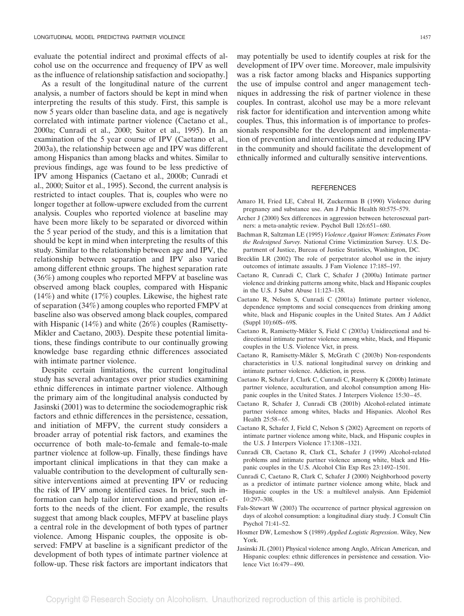evaluate the potential indirect and proximal effects of alcohol use on the occurrence and frequency of IPV as well as the influence of relationship satisfaction and sociopathy.]

As a result of the longitudinal nature of the current analysis, a number of factors should be kept in mind when interpreting the results of this study. First, this sample is now 5 years older than baseline data, and age is negatively correlated with intimate partner violence (Caetano et al., 2000a; Cunradi et al., 2000; Suitor et al., 1995). In an examination of the 5 year course of IPV (Caetano et al., 2003a), the relationship between age and IPV was different among Hispanics than among blacks and whites. Similar to previous findings, age was found to be less predictive of IPV among Hispanics (Caetano et al., 2000b; Cunradi et al., 2000; Suitor et al., 1995). Second, the current analysis is restricted to intact couples. That is, couples who were no longer together at follow-upwere excluded from the current analysis. Couples who reported violence at baseline may have been more likely to be separated or divorced within the 5 year period of the study, and this is a limitation that should be kept in mind when interpreting the results of this study. Similar to the relationship between age and IPV, the relationship between separation and IPV also varied among different ethnic groups. The highest separation rate (36%) among couples who reported MFPV at baseline was observed among black couples, compared with Hispanic (14%) and white (17%) couples. Likewise, the highest rate of separation (34%) among couples who reported FMPV at baseline also was observed among black couples, compared with Hispanic (14%) and white (26%) couples (Ramisetty-Mikler and Caetano, 2003). Despite these potential limitations, these findings contribute to our continually growing knowledge base regarding ethnic differences associated with intimate partner violence.

Despite certain limitations, the current longitudinal study has several advantages over prior studies examining ethnic differences in intimate partner violence. Although the primary aim of the longitudinal analysis conducted by Jasinski (2001) was to determine the sociodemographic risk factors and ethnic differences in the persistence, cessation, and initiation of MFPV, the current study considers a broader array of potential risk factors, and examines the occurrence of both male-to-female and female-to-male partner violence at follow-up. Finally, these findings have important clinical implications in that they can make a valuable contribution to the development of culturally sensitive interventions aimed at preventing IPV or reducing the risk of IPV among identified cases. In brief, such information can help tailor intervention and prevention efforts to the needs of the client. For example, the results suggest that among black couples, MFPV at baseline plays a central role in the development of both types of partner violence. Among Hispanic couples, the opposite is observed: FMPV at baseline is a significant predictor of the development of both types of intimate partner violence at follow-up. These risk factors are important indicators that may potentially be used to identify couples at risk for the development of IPV over time. Moreover, male impulsivity was a risk factor among blacks and Hispanics supporting the use of impulse control and anger management techniques in addressing the risk of partner violence in these couples. In contrast, alcohol use may be a more relevant risk factor for identification and intervention among white couples. Thus, this information is of importance to professionals responsible for the development and implementation of prevention and interventions aimed at reducing IPV in the community and should facilitate the development of ethnically informed and culturally sensitive interventions.

## **REFERENCES**

- Amaro H, Fried LE, Cabral H, Zuckerman B (1990) Violence during pregnancy and substance use. Am J Public Health 80:575–579.
- Archer J (2000) Sex differences in aggression between heterosexual partners: a meta-analytic review. Psychol Bull 126:651–680.
- Bachman R, Saltzman LE (1995) *Violence Against Women: Estimates From the Redesigned Survey.* National Crime Victimization Survey. U.S. Department of Justice, Bureau of Justice Statistics, Washington, DC.
- Brecklin LR (2002) The role of perpetrator alcohol use in the injury outcomes of intimate assaults. J Fam Violence 17:185–197.
- Caetano R, Cunradi C, Clark C, Schafer J (2000a) Intimate partner violence and drinking patterns among white, black and Hispanic couples in the U.S. J Subst Abuse 11:123–138.
- Caetano R, Nelson S, Cunradi C (2001a) Intimate partner violence, dependence symptoms and social consequences from drinking among white, black and Hispanic couples in the United States. Am J Addict (Suppl 10):60S–69S.
- Caetano R, Ramisetty-Mikler S, Field C (2003a) Unidirectional and bidirectional intimate partner violence among white, black, and Hispanic couples in the U.S. Violence Vict, in press.
- Caetano R, Ramisetty-Mikler S, McGrath C (2003b) Non-respondents characteristics in U.S. national longitudinal survey on drinking and intimate partner violence. Addiction, in press.
- Caetano R, Schafer J, Clark C, Cunradi C, Raspberry K (2000b) Intimate partner violence, acculturation, and alcohol consumption among Hispanic couples in the United States. J Interpers Violence 15:30–45.
- Caetano R, Schafer J, Cunradi CB (2001b) Alcohol-related intimate partner violence among whites, blacks and Hispanics. Alcohol Res Health 25:58–65.
- Caetano R, Schafer J, Field C, Nelson S (2002) Agreement on reports of intimate partner violence among white, black, and Hispanic couples in the U.S. J Interpers Violence 17:1308–1321.
- Cunradi CB, Caetano R, Clark CL, Schafer J (1999) Alcohol-related problems and intimate partner violence among white, black and Hispanic couples in the U.S. Alcohol Clin Exp Res 23:1492–1501.
- Cunradi C, Caetano R, Clark C, Schafer J (2000) Neighborhood poverty as a predictor of intimate partner violence among white, black and Hispanic couples in the US: a multilevel analysis. Ann Epidemiol 10:297–308.
- Fals-Stewart W (2003) The occurrence of partner physical aggression on days of alcohol consumption: a longitudinal diary study. J Consult Clin Psychol 71:41–52.
- Hosmer DW, Lemeshow S (1989) *Applied Logistic Regression*. Wiley, New York.
- Jasinski JL (2001) Physical violence among Anglo, African American, and Hispanic couples: ethnic differences in persistence and cessation. Violence Vict 16:479–490.